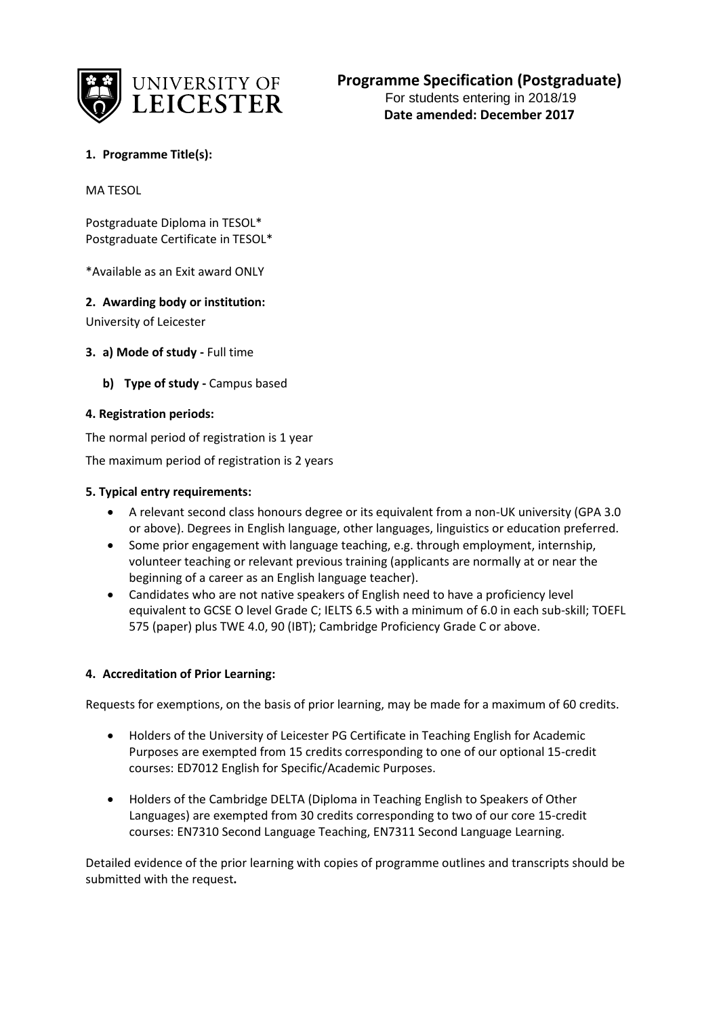

# **1. Programme Title(s):**

MA TESOL

Postgraduate Diploma in TESOL\* Postgraduate Certificate in TESOL\*

\*Available as an Exit award ONLY

### **2. Awarding body or institution:**

University of Leicester

- **3. a) Mode of study -** Full time
	- **b) Type of study -** Campus based

### **4. Registration periods:**

The normal period of registration is 1 year

The maximum period of registration is 2 years

### **5. Typical entry requirements:**

- A relevant second class honours degree or its equivalent from a non-UK university (GPA 3.0 or above). Degrees in English language, other languages, linguistics or education preferred.
- Some prior engagement with language teaching, e.g. through employment, internship, volunteer teaching or relevant previous training (applicants are normally at or near the beginning of a career as an English language teacher).
- Candidates who are not native speakers of English need to have a proficiency level equivalent to GCSE O level Grade C; IELTS 6.5 with a minimum of 6.0 in each sub-skill; TOEFL 575 (paper) plus TWE 4.0, 90 (IBT); Cambridge Proficiency Grade C or above.

#### **4. Accreditation of Prior Learning:**

Requests for exemptions, on the basis of prior learning, may be made for a maximum of 60 credits.

- Holders of the University of Leicester PG Certificate in Teaching English for Academic Purposes are exempted from 15 credits corresponding to one of our optional 15-credit courses: ED7012 English for Specific/Academic Purposes.
- Holders of the Cambridge DELTA (Diploma in Teaching English to Speakers of Other Languages) are exempted from 30 credits corresponding to two of our core 15-credit courses: EN7310 Second Language Teaching, EN7311 Second Language Learning.

Detailed evidence of the prior learning with copies of programme outlines and transcripts should be submitted with the request**.**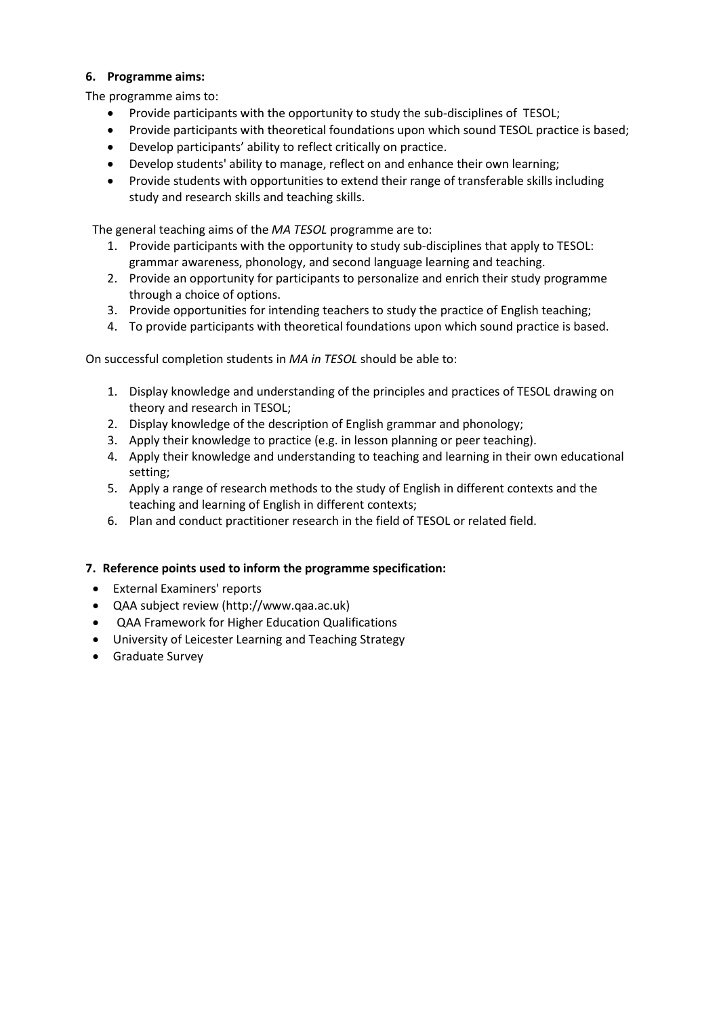### **6. Programme aims:**

The programme aims to:

- Provide participants with the opportunity to study the sub-disciplines of TESOL;
- Provide participants with theoretical foundations upon which sound TESOL practice is based;
- Develop participants' ability to reflect critically on practice.
- Develop students' ability to manage, reflect on and enhance their own learning;
- Provide students with opportunities to extend their range of transferable skills including study and research skills and teaching skills.

The general teaching aims of the *MA TESOL* programme are to:

- 1. Provide participants with the opportunity to study sub-disciplines that apply to TESOL: grammar awareness, phonology, and second language learning and teaching.
- 2. Provide an opportunity for participants to personalize and enrich their study programme through a choice of options.
- 3. Provide opportunities for intending teachers to study the practice of English teaching;
- 4. To provide participants with theoretical foundations upon which sound practice is based.

On successful completion students in *MA in TESOL* should be able to:

- 1. Display knowledge and understanding of the principles and practices of TESOL drawing on theory and research in TESOL;
- 2. Display knowledge of the description of English grammar and phonology;
- 3. Apply their knowledge to practice (e.g. in lesson planning or peer teaching).
- 4. Apply their knowledge and understanding to teaching and learning in their own educational setting;
- 5. Apply a range of research methods to the study of English in different contexts and the teaching and learning of English in different contexts;
- 6. Plan and conduct practitioner research in the field of TESOL or related field.

#### **7. Reference points used to inform the programme specification:**

- External Examiners' reports
- QAA subject review (http://www.qaa.ac.uk)
- QAA Framework for Higher Education Qualifications
- University of Leicester Learning and Teaching Strategy
- Graduate Survey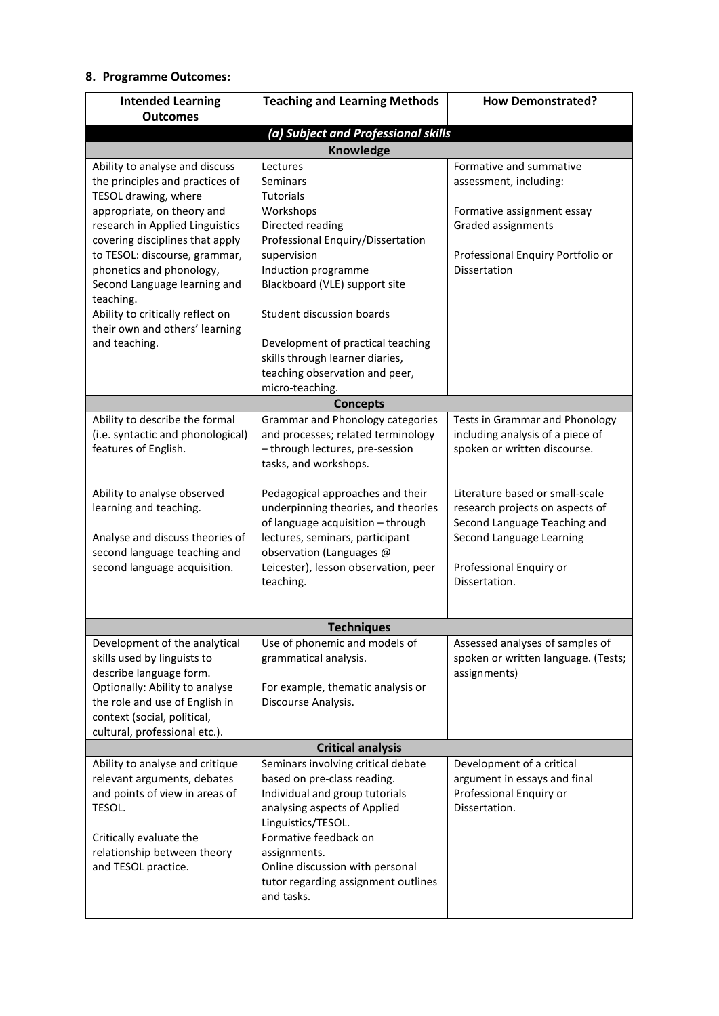## **8. Programme Outcomes:**

| <b>Outcomes</b><br>(a) Subject and Professional skills<br>Knowledge<br>Formative and summative<br>Ability to analyse and discuss<br>Lectures<br>the principles and practices of<br>Seminars<br>assessment, including:<br>TESOL drawing, where<br><b>Tutorials</b><br>appropriate, on theory and<br>Workshops<br>Formative assignment essay<br>research in Applied Linguistics<br>Directed reading<br>Graded assignments<br>covering disciplines that apply<br>Professional Enquiry/Dissertation<br>to TESOL: discourse, grammar,<br>Professional Enquiry Portfolio or<br>supervision<br>Induction programme<br>phonetics and phonology,<br>Dissertation<br>Blackboard (VLE) support site<br>Second Language learning and<br>teaching.<br>Ability to critically reflect on<br>Student discussion boards<br>their own and others' learning |
|------------------------------------------------------------------------------------------------------------------------------------------------------------------------------------------------------------------------------------------------------------------------------------------------------------------------------------------------------------------------------------------------------------------------------------------------------------------------------------------------------------------------------------------------------------------------------------------------------------------------------------------------------------------------------------------------------------------------------------------------------------------------------------------------------------------------------------------|
|                                                                                                                                                                                                                                                                                                                                                                                                                                                                                                                                                                                                                                                                                                                                                                                                                                          |
|                                                                                                                                                                                                                                                                                                                                                                                                                                                                                                                                                                                                                                                                                                                                                                                                                                          |
|                                                                                                                                                                                                                                                                                                                                                                                                                                                                                                                                                                                                                                                                                                                                                                                                                                          |
|                                                                                                                                                                                                                                                                                                                                                                                                                                                                                                                                                                                                                                                                                                                                                                                                                                          |
|                                                                                                                                                                                                                                                                                                                                                                                                                                                                                                                                                                                                                                                                                                                                                                                                                                          |
|                                                                                                                                                                                                                                                                                                                                                                                                                                                                                                                                                                                                                                                                                                                                                                                                                                          |
|                                                                                                                                                                                                                                                                                                                                                                                                                                                                                                                                                                                                                                                                                                                                                                                                                                          |
|                                                                                                                                                                                                                                                                                                                                                                                                                                                                                                                                                                                                                                                                                                                                                                                                                                          |
|                                                                                                                                                                                                                                                                                                                                                                                                                                                                                                                                                                                                                                                                                                                                                                                                                                          |
|                                                                                                                                                                                                                                                                                                                                                                                                                                                                                                                                                                                                                                                                                                                                                                                                                                          |
|                                                                                                                                                                                                                                                                                                                                                                                                                                                                                                                                                                                                                                                                                                                                                                                                                                          |
|                                                                                                                                                                                                                                                                                                                                                                                                                                                                                                                                                                                                                                                                                                                                                                                                                                          |
|                                                                                                                                                                                                                                                                                                                                                                                                                                                                                                                                                                                                                                                                                                                                                                                                                                          |
|                                                                                                                                                                                                                                                                                                                                                                                                                                                                                                                                                                                                                                                                                                                                                                                                                                          |
| and teaching.<br>Development of practical teaching                                                                                                                                                                                                                                                                                                                                                                                                                                                                                                                                                                                                                                                                                                                                                                                       |
| skills through learner diaries,                                                                                                                                                                                                                                                                                                                                                                                                                                                                                                                                                                                                                                                                                                                                                                                                          |
| teaching observation and peer,                                                                                                                                                                                                                                                                                                                                                                                                                                                                                                                                                                                                                                                                                                                                                                                                           |
| micro-teaching.                                                                                                                                                                                                                                                                                                                                                                                                                                                                                                                                                                                                                                                                                                                                                                                                                          |
| <b>Concepts</b>                                                                                                                                                                                                                                                                                                                                                                                                                                                                                                                                                                                                                                                                                                                                                                                                                          |
| Ability to describe the formal<br><b>Grammar and Phonology categories</b><br><b>Tests in Grammar and Phonology</b>                                                                                                                                                                                                                                                                                                                                                                                                                                                                                                                                                                                                                                                                                                                       |
| (i.e. syntactic and phonological)<br>and processes; related terminology<br>including analysis of a piece of                                                                                                                                                                                                                                                                                                                                                                                                                                                                                                                                                                                                                                                                                                                              |
| - through lectures, pre-session<br>features of English.<br>spoken or written discourse.                                                                                                                                                                                                                                                                                                                                                                                                                                                                                                                                                                                                                                                                                                                                                  |
| tasks, and workshops.                                                                                                                                                                                                                                                                                                                                                                                                                                                                                                                                                                                                                                                                                                                                                                                                                    |
| Ability to analyse observed<br>Pedagogical approaches and their<br>Literature based or small-scale                                                                                                                                                                                                                                                                                                                                                                                                                                                                                                                                                                                                                                                                                                                                       |
| learning and teaching.<br>underpinning theories, and theories<br>research projects on aspects of                                                                                                                                                                                                                                                                                                                                                                                                                                                                                                                                                                                                                                                                                                                                         |
| of language acquisition - through<br>Second Language Teaching and                                                                                                                                                                                                                                                                                                                                                                                                                                                                                                                                                                                                                                                                                                                                                                        |
| Analyse and discuss theories of<br>lectures, seminars, participant<br>Second Language Learning                                                                                                                                                                                                                                                                                                                                                                                                                                                                                                                                                                                                                                                                                                                                           |
| second language teaching and<br>observation (Languages @                                                                                                                                                                                                                                                                                                                                                                                                                                                                                                                                                                                                                                                                                                                                                                                 |
| second language acquisition.<br>Leicester), lesson observation, peer<br>Professional Enquiry or                                                                                                                                                                                                                                                                                                                                                                                                                                                                                                                                                                                                                                                                                                                                          |
| teaching.<br>Dissertation.                                                                                                                                                                                                                                                                                                                                                                                                                                                                                                                                                                                                                                                                                                                                                                                                               |
|                                                                                                                                                                                                                                                                                                                                                                                                                                                                                                                                                                                                                                                                                                                                                                                                                                          |
|                                                                                                                                                                                                                                                                                                                                                                                                                                                                                                                                                                                                                                                                                                                                                                                                                                          |
| <b>Techniques</b>                                                                                                                                                                                                                                                                                                                                                                                                                                                                                                                                                                                                                                                                                                                                                                                                                        |
| Development of the analytical<br>Use of phonemic and models of<br>Assessed analyses of samples of                                                                                                                                                                                                                                                                                                                                                                                                                                                                                                                                                                                                                                                                                                                                        |
| spoken or written language. (Tests;<br>skills used by linguists to<br>grammatical analysis.                                                                                                                                                                                                                                                                                                                                                                                                                                                                                                                                                                                                                                                                                                                                              |
| describe language form.<br>assignments)<br>Optionally: Ability to analyse<br>For example, thematic analysis or                                                                                                                                                                                                                                                                                                                                                                                                                                                                                                                                                                                                                                                                                                                           |
| the role and use of English in<br>Discourse Analysis.                                                                                                                                                                                                                                                                                                                                                                                                                                                                                                                                                                                                                                                                                                                                                                                    |
| context (social, political,                                                                                                                                                                                                                                                                                                                                                                                                                                                                                                                                                                                                                                                                                                                                                                                                              |
| cultural, professional etc.).                                                                                                                                                                                                                                                                                                                                                                                                                                                                                                                                                                                                                                                                                                                                                                                                            |
| <b>Critical analysis</b>                                                                                                                                                                                                                                                                                                                                                                                                                                                                                                                                                                                                                                                                                                                                                                                                                 |
| Ability to analyse and critique<br>Seminars involving critical debate<br>Development of a critical                                                                                                                                                                                                                                                                                                                                                                                                                                                                                                                                                                                                                                                                                                                                       |
| relevant arguments, debates<br>based on pre-class reading.<br>argument in essays and final                                                                                                                                                                                                                                                                                                                                                                                                                                                                                                                                                                                                                                                                                                                                               |
| and points of view in areas of<br>Professional Enquiry or<br>Individual and group tutorials                                                                                                                                                                                                                                                                                                                                                                                                                                                                                                                                                                                                                                                                                                                                              |
| Dissertation.<br>TESOL.<br>analysing aspects of Applied                                                                                                                                                                                                                                                                                                                                                                                                                                                                                                                                                                                                                                                                                                                                                                                  |
| Linguistics/TESOL.                                                                                                                                                                                                                                                                                                                                                                                                                                                                                                                                                                                                                                                                                                                                                                                                                       |
| Formative feedback on<br>Critically evaluate the                                                                                                                                                                                                                                                                                                                                                                                                                                                                                                                                                                                                                                                                                                                                                                                         |
| relationship between theory<br>assignments.                                                                                                                                                                                                                                                                                                                                                                                                                                                                                                                                                                                                                                                                                                                                                                                              |
| Online discussion with personal<br>and TESOL practice.                                                                                                                                                                                                                                                                                                                                                                                                                                                                                                                                                                                                                                                                                                                                                                                   |
| tutor regarding assignment outlines                                                                                                                                                                                                                                                                                                                                                                                                                                                                                                                                                                                                                                                                                                                                                                                                      |
| and tasks.                                                                                                                                                                                                                                                                                                                                                                                                                                                                                                                                                                                                                                                                                                                                                                                                                               |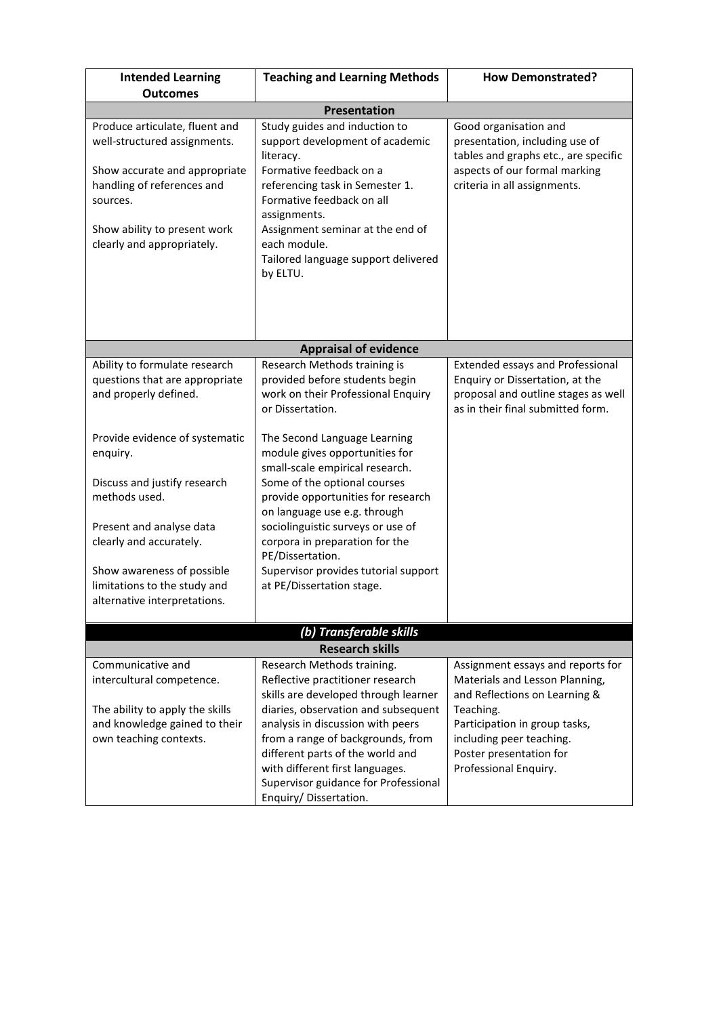| <b>Intended Learning</b><br><b>Outcomes</b>                                                                                                                                                                                                                                                                                                  | <b>Teaching and Learning Methods</b><br><b>How Demonstrated?</b>                                                                                                                                                                                                                                                                                                                                                                                                                                    |                                                                                                                                                                                                                                    |  |  |  |  |  |  |
|----------------------------------------------------------------------------------------------------------------------------------------------------------------------------------------------------------------------------------------------------------------------------------------------------------------------------------------------|-----------------------------------------------------------------------------------------------------------------------------------------------------------------------------------------------------------------------------------------------------------------------------------------------------------------------------------------------------------------------------------------------------------------------------------------------------------------------------------------------------|------------------------------------------------------------------------------------------------------------------------------------------------------------------------------------------------------------------------------------|--|--|--|--|--|--|
| Presentation                                                                                                                                                                                                                                                                                                                                 |                                                                                                                                                                                                                                                                                                                                                                                                                                                                                                     |                                                                                                                                                                                                                                    |  |  |  |  |  |  |
| Produce articulate, fluent and<br>well-structured assignments.<br>Show accurate and appropriate<br>handling of references and<br>sources.<br>Show ability to present work<br>clearly and appropriately.                                                                                                                                      | Study guides and induction to<br>Good organisation and<br>support development of academic<br>presentation, including use of<br>tables and graphs etc., are specific<br>literacy.<br>Formative feedback on a<br>aspects of our formal marking<br>referencing task in Semester 1.<br>criteria in all assignments.<br>Formative feedback on all<br>assignments.<br>Assignment seminar at the end of<br>each module.<br>Tailored language support delivered<br>by ELTU.                                 |                                                                                                                                                                                                                                    |  |  |  |  |  |  |
|                                                                                                                                                                                                                                                                                                                                              | <b>Appraisal of evidence</b>                                                                                                                                                                                                                                                                                                                                                                                                                                                                        |                                                                                                                                                                                                                                    |  |  |  |  |  |  |
| Ability to formulate research<br>questions that are appropriate<br>and properly defined.<br>Provide evidence of systematic<br>enquiry.<br>Discuss and justify research<br>methods used.<br>Present and analyse data<br>clearly and accurately.<br>Show awareness of possible<br>limitations to the study and<br>alternative interpretations. | Research Methods training is<br>provided before students begin<br>work on their Professional Enquiry<br>or Dissertation.<br>The Second Language Learning<br>module gives opportunities for<br>small-scale empirical research.<br>Some of the optional courses<br>provide opportunities for research<br>on language use e.g. through<br>sociolinguistic surveys or use of<br>corpora in preparation for the<br>PE/Dissertation.<br>Supervisor provides tutorial support<br>at PE/Dissertation stage. | <b>Extended essays and Professional</b><br>Enquiry or Dissertation, at the<br>proposal and outline stages as well<br>as in their final submitted form.                                                                             |  |  |  |  |  |  |
|                                                                                                                                                                                                                                                                                                                                              | (b) Transferable skills                                                                                                                                                                                                                                                                                                                                                                                                                                                                             |                                                                                                                                                                                                                                    |  |  |  |  |  |  |
| Communicative and<br>intercultural competence.<br>The ability to apply the skills<br>and knowledge gained to their<br>own teaching contexts.                                                                                                                                                                                                 | <b>Research skills</b><br>Research Methods training.<br>Reflective practitioner research<br>skills are developed through learner<br>diaries, observation and subsequent<br>analysis in discussion with peers<br>from a range of backgrounds, from<br>different parts of the world and<br>with different first languages.<br>Supervisor guidance for Professional<br>Enquiry/Dissertation.                                                                                                           | Assignment essays and reports for<br>Materials and Lesson Planning,<br>and Reflections on Learning &<br>Teaching.<br>Participation in group tasks,<br>including peer teaching.<br>Poster presentation for<br>Professional Enquiry. |  |  |  |  |  |  |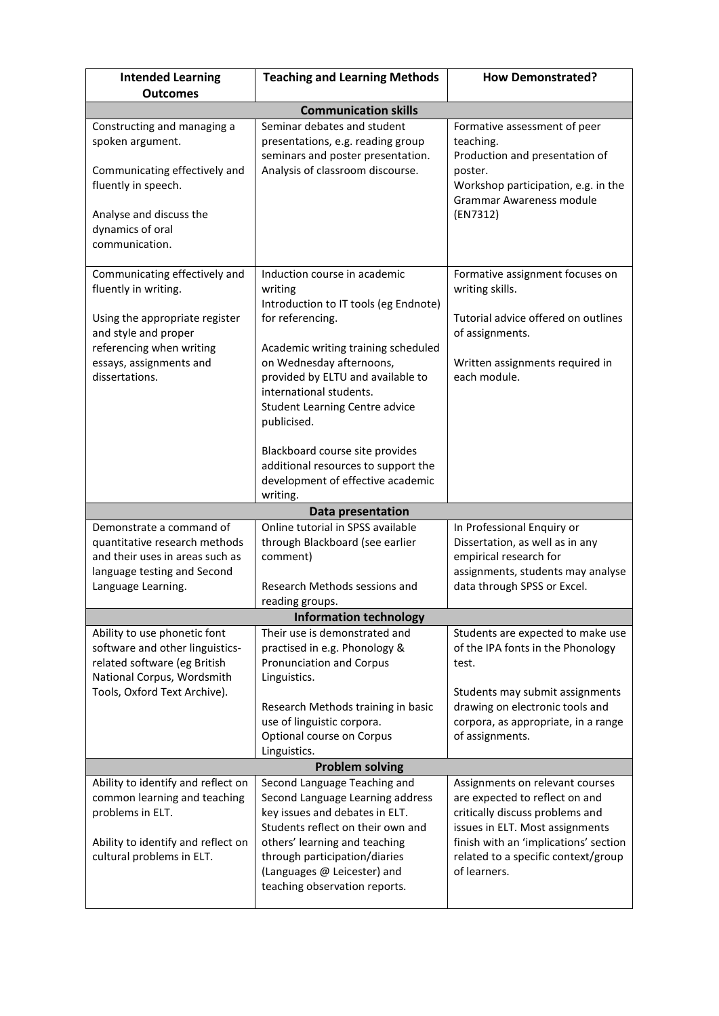| <b>Intended Learning</b>                                                                                                                                  | <b>Teaching and Learning Methods</b>                                                                                                                                                                                                                                      | <b>How Demonstrated?</b>                                                                                                                                                                                                                |
|-----------------------------------------------------------------------------------------------------------------------------------------------------------|---------------------------------------------------------------------------------------------------------------------------------------------------------------------------------------------------------------------------------------------------------------------------|-----------------------------------------------------------------------------------------------------------------------------------------------------------------------------------------------------------------------------------------|
| <b>Outcomes</b>                                                                                                                                           |                                                                                                                                                                                                                                                                           |                                                                                                                                                                                                                                         |
|                                                                                                                                                           | <b>Communication skills</b>                                                                                                                                                                                                                                               |                                                                                                                                                                                                                                         |
| Constructing and managing a<br>spoken argument.<br>Communicating effectively and<br>fluently in speech.                                                   | Seminar debates and student<br>presentations, e.g. reading group<br>seminars and poster presentation.<br>Analysis of classroom discourse.                                                                                                                                 | Formative assessment of peer<br>teaching.<br>Production and presentation of<br>poster.<br>Workshop participation, e.g. in the                                                                                                           |
| Analyse and discuss the<br>dynamics of oral<br>communication.                                                                                             |                                                                                                                                                                                                                                                                           | Grammar Awareness module<br>(EN7312)                                                                                                                                                                                                    |
| Communicating effectively and<br>fluently in writing.                                                                                                     | Induction course in academic<br>writing<br>Introduction to IT tools (eg Endnote)                                                                                                                                                                                          | Formative assignment focuses on<br>writing skills.                                                                                                                                                                                      |
| Using the appropriate register<br>and style and proper<br>referencing when writing                                                                        | for referencing.<br>Academic writing training scheduled                                                                                                                                                                                                                   | Tutorial advice offered on outlines<br>of assignments.                                                                                                                                                                                  |
| essays, assignments and<br>dissertations.                                                                                                                 | on Wednesday afternoons,<br>provided by ELTU and available to<br>international students.<br><b>Student Learning Centre advice</b><br>publicised.                                                                                                                          | Written assignments required in<br>each module.                                                                                                                                                                                         |
|                                                                                                                                                           | Blackboard course site provides<br>additional resources to support the<br>development of effective academic<br>writing.                                                                                                                                                   |                                                                                                                                                                                                                                         |
|                                                                                                                                                           | Data presentation                                                                                                                                                                                                                                                         |                                                                                                                                                                                                                                         |
| Demonstrate a command of<br>quantitative research methods<br>and their uses in areas such as<br>language testing and Second<br>Language Learning.         | Online tutorial in SPSS available<br>through Blackboard (see earlier<br>comment)<br>Research Methods sessions and<br>reading groups.                                                                                                                                      | In Professional Enquiry or<br>Dissertation, as well as in any<br>empirical research for<br>assignments, students may analyse<br>data through SPSS or Excel.                                                                             |
|                                                                                                                                                           | <b>Information technology</b>                                                                                                                                                                                                                                             |                                                                                                                                                                                                                                         |
| Ability to use phonetic font<br>software and other linguistics-<br>related software (eg British<br>National Corpus, Wordsmith                             | Their use is demonstrated and<br>practised in e.g. Phonology &<br>Pronunciation and Corpus<br>Linguistics.                                                                                                                                                                | Students are expected to make use<br>of the IPA fonts in the Phonology<br>test.                                                                                                                                                         |
| Tools, Oxford Text Archive).                                                                                                                              | Research Methods training in basic<br>use of linguistic corpora.<br>Optional course on Corpus<br>Linguistics.                                                                                                                                                             | Students may submit assignments<br>drawing on electronic tools and<br>corpora, as appropriate, in a range<br>of assignments.                                                                                                            |
|                                                                                                                                                           | <b>Problem solving</b>                                                                                                                                                                                                                                                    |                                                                                                                                                                                                                                         |
| Ability to identify and reflect on<br>common learning and teaching<br>problems in ELT.<br>Ability to identify and reflect on<br>cultural problems in ELT. | Second Language Teaching and<br>Second Language Learning address<br>key issues and debates in ELT.<br>Students reflect on their own and<br>others' learning and teaching<br>through participation/diaries<br>(Languages @ Leicester) and<br>teaching observation reports. | Assignments on relevant courses<br>are expected to reflect on and<br>critically discuss problems and<br>issues in ELT. Most assignments<br>finish with an 'implications' section<br>related to a specific context/group<br>of learners. |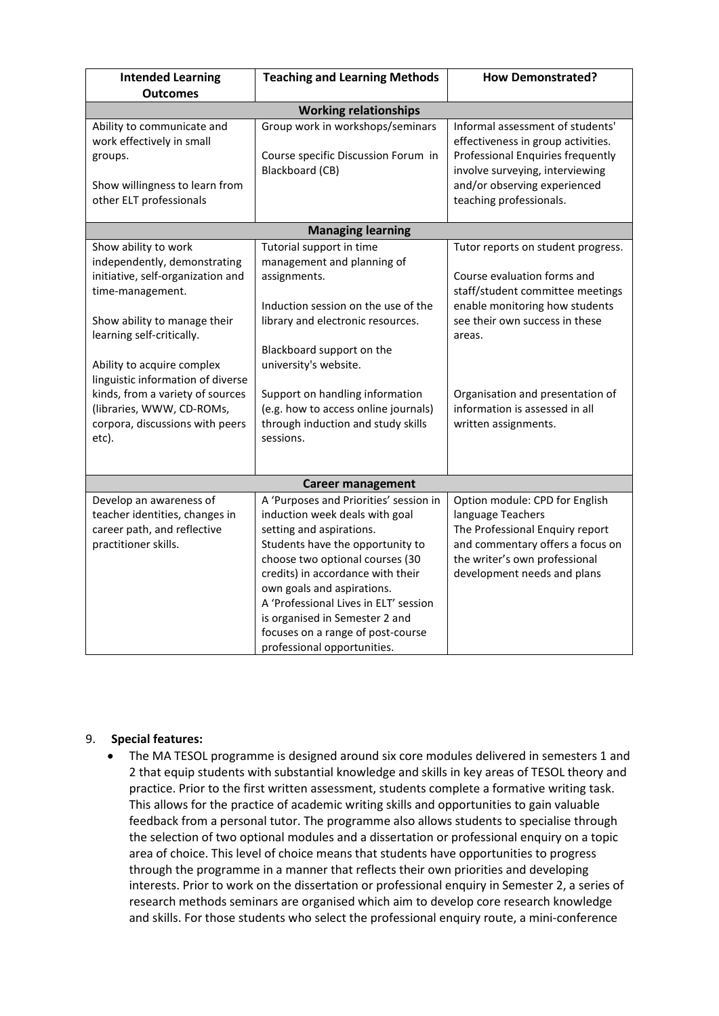| <b>Intended Learning</b>                                                                                                                                                                                                                                                                                                                                   | <b>Teaching and Learning Methods</b>                                                                                                                                                                                                                                                                                                                                                          | <b>How Demonstrated?</b>                                                                                                                                                                                                                                                          |  |  |  |  |  |
|------------------------------------------------------------------------------------------------------------------------------------------------------------------------------------------------------------------------------------------------------------------------------------------------------------------------------------------------------------|-----------------------------------------------------------------------------------------------------------------------------------------------------------------------------------------------------------------------------------------------------------------------------------------------------------------------------------------------------------------------------------------------|-----------------------------------------------------------------------------------------------------------------------------------------------------------------------------------------------------------------------------------------------------------------------------------|--|--|--|--|--|
| <b>Outcomes</b>                                                                                                                                                                                                                                                                                                                                            |                                                                                                                                                                                                                                                                                                                                                                                               |                                                                                                                                                                                                                                                                                   |  |  |  |  |  |
| <b>Working relationships</b>                                                                                                                                                                                                                                                                                                                               |                                                                                                                                                                                                                                                                                                                                                                                               |                                                                                                                                                                                                                                                                                   |  |  |  |  |  |
| Ability to communicate and<br>work effectively in small<br>groups.<br>Show willingness to learn from<br>other ELT professionals                                                                                                                                                                                                                            | Group work in workshops/seminars<br>Course specific Discussion Forum in<br>Blackboard (CB)                                                                                                                                                                                                                                                                                                    | Informal assessment of students'<br>effectiveness in group activities.<br>Professional Enquiries frequently<br>involve surveying, interviewing<br>and/or observing experienced<br>teaching professionals.                                                                         |  |  |  |  |  |
|                                                                                                                                                                                                                                                                                                                                                            |                                                                                                                                                                                                                                                                                                                                                                                               |                                                                                                                                                                                                                                                                                   |  |  |  |  |  |
|                                                                                                                                                                                                                                                                                                                                                            | <b>Managing learning</b>                                                                                                                                                                                                                                                                                                                                                                      |                                                                                                                                                                                                                                                                                   |  |  |  |  |  |
| Show ability to work<br>independently, demonstrating<br>initiative, self-organization and<br>time-management.<br>Show ability to manage their<br>learning self-critically.<br>Ability to acquire complex<br>linguistic information of diverse<br>kinds, from a variety of sources<br>(libraries, WWW, CD-ROMs,<br>corpora, discussions with peers<br>etc). | Tutorial support in time<br>management and planning of<br>assignments.<br>Induction session on the use of the<br>library and electronic resources.<br>Blackboard support on the<br>university's website.<br>Support on handling information<br>(e.g. how to access online journals)<br>through induction and study skills<br>sessions.                                                        | Tutor reports on student progress.<br>Course evaluation forms and<br>staff/student committee meetings<br>enable monitoring how students<br>see their own success in these<br>areas.<br>Organisation and presentation of<br>information is assessed in all<br>written assignments. |  |  |  |  |  |
|                                                                                                                                                                                                                                                                                                                                                            |                                                                                                                                                                                                                                                                                                                                                                                               |                                                                                                                                                                                                                                                                                   |  |  |  |  |  |
|                                                                                                                                                                                                                                                                                                                                                            | <b>Career management</b>                                                                                                                                                                                                                                                                                                                                                                      |                                                                                                                                                                                                                                                                                   |  |  |  |  |  |
| Develop an awareness of<br>teacher identities, changes in<br>career path, and reflective<br>practitioner skills.                                                                                                                                                                                                                                           | A 'Purposes and Priorities' session in<br>induction week deals with goal<br>setting and aspirations.<br>Students have the opportunity to<br>choose two optional courses (30<br>credits) in accordance with their<br>own goals and aspirations.<br>A 'Professional Lives in ELT' session<br>is organised in Semester 2 and<br>focuses on a range of post-course<br>professional opportunities. | Option module: CPD for English<br>language Teachers<br>The Professional Enquiry report<br>and commentary offers a focus on<br>the writer's own professional<br>development needs and plans                                                                                        |  |  |  |  |  |

## 9. **Special features:**

• The MA TESOL programme is designed around six core modules delivered in semesters 1 and 2 that equip students with substantial knowledge and skills in key areas of TESOL theory and practice. Prior to the first written assessment, students complete a formative writing task. This allows for the practice of academic writing skills and opportunities to gain valuable feedback from a personal tutor. The programme also allows students to specialise through the selection of two optional modules and a dissertation or professional enquiry on a topic area of choice. This level of choice means that students have opportunities to progress through the programme in a manner that reflects their own priorities and developing interests. Prior to work on the dissertation or professional enquiry in Semester 2, a series of research methods seminars are organised which aim to develop core research knowledge and skills. For those students who select the professional enquiry route, a mini-conference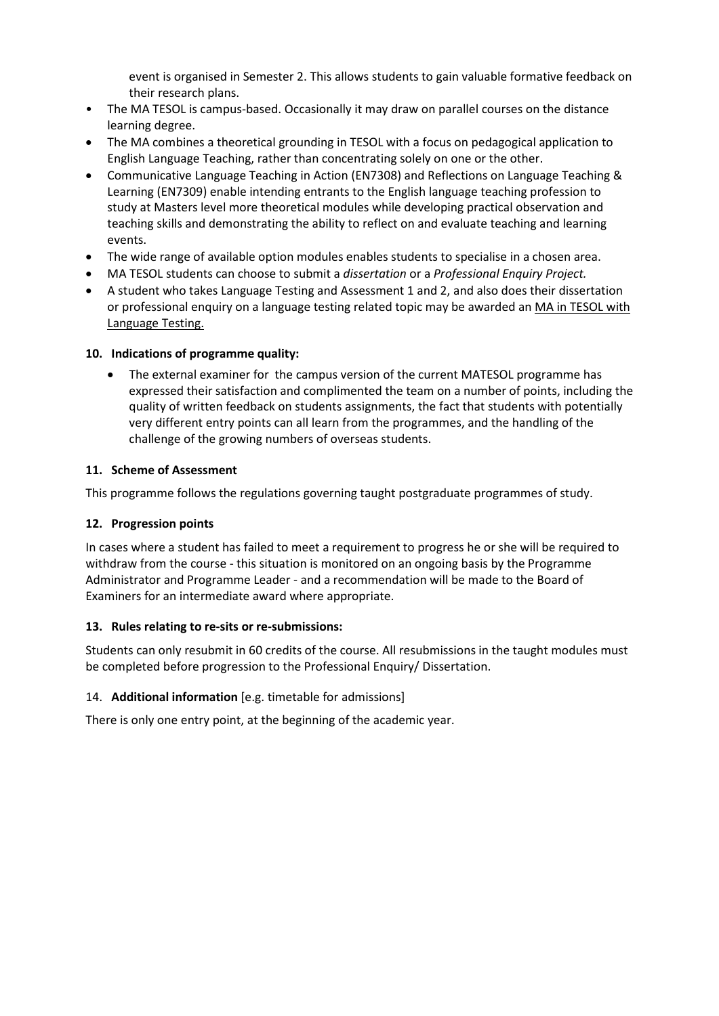event is organised in Semester 2. This allows students to gain valuable formative feedback on their research plans.

- The MA TESOL is campus-based. Occasionally it may draw on parallel courses on the distance learning degree.
- The MA combines a theoretical grounding in TESOL with a focus on pedagogical application to English Language Teaching, rather than concentrating solely on one or the other.
- Communicative Language Teaching in Action (EN7308) and Reflections on Language Teaching & Learning (EN7309) enable intending entrants to the English language teaching profession to study at Masters level more theoretical modules while developing practical observation and teaching skills and demonstrating the ability to reflect on and evaluate teaching and learning events.
- The wide range of available option modules enables students to specialise in a chosen area.
- MA TESOL students can choose to submit a *dissertation* or a *Professional Enquiry Project.*
- A student who takes Language Testing and Assessment 1 and 2, and also does their dissertation or professional enquiry on a language testing related topic may be awarded an MA in TESOL with Language Testing.

## **10. Indications of programme quality:**

• The external examiner for the campus version of the current MATESOL programme has expressed their satisfaction and complimented the team on a number of points, including the quality of written feedback on students assignments, the fact that students with potentially very different entry points can all learn from the programmes, and the handling of the challenge of the growing numbers of overseas students.

# **11. Scheme of Assessment**

This programme follows the regulations governing taught postgraduate programmes of study.

## **12. Progression points**

In cases where a student has failed to meet a requirement to progress he or she will be required to withdraw from the course - this situation is monitored on an ongoing basis by the Programme Administrator and Programme Leader - and a recommendation will be made to the Board of Examiners for an intermediate award where appropriate.

## **13. Rules relating to re-sits or re-submissions:**

Students can only resubmit in 60 credits of the course. All resubmissions in the taught modules must be completed before progression to the Professional Enquiry/ Dissertation.

## 14. **Additional information** [e.g. timetable for admissions]

There is only one entry point, at the beginning of the academic year.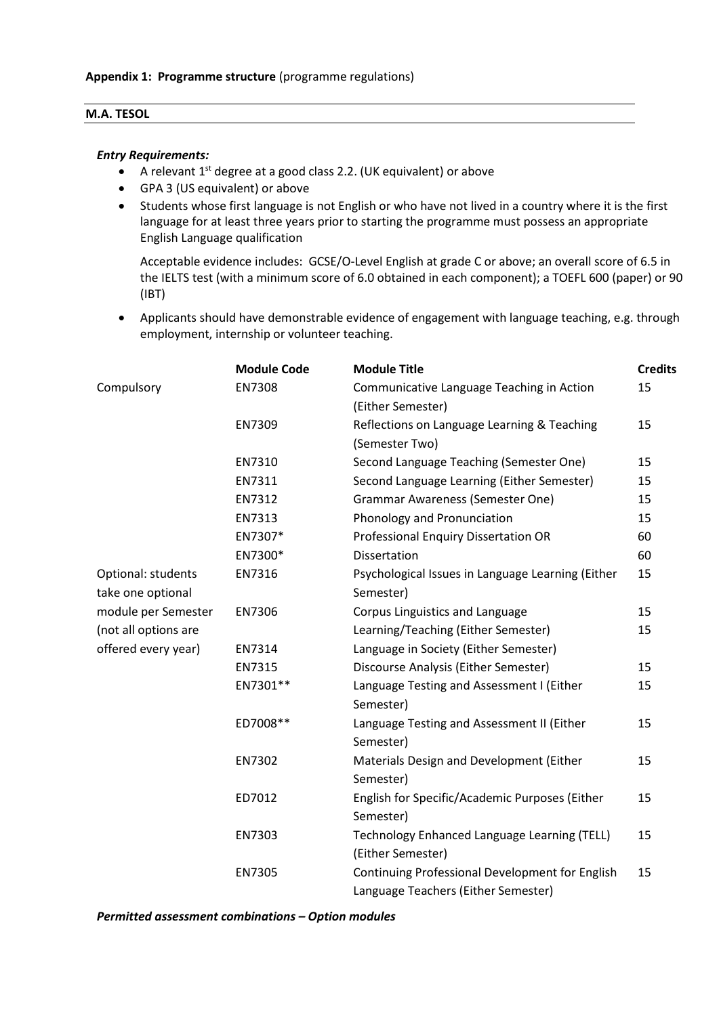### **M.A. TESOL**

#### *Entry Requirements:*

- A relevant 1<sup>st</sup> degree at a good class 2.2. (UK equivalent) or above
- GPA 3 (US equivalent) or above
- Students whose first language is not English or who have not lived in a country where it is the first language for at least three years prior to starting the programme must possess an appropriate English Language qualification

Acceptable evidence includes: GCSE/O-Level English at grade C or above; an overall score of 6.5 in the IELTS test (with a minimum score of 6.0 obtained in each component); a TOEFL 600 (paper) or 90 (IBT)

• Applicants should have demonstrable evidence of engagement with language teaching, e.g. through employment, internship or volunteer teaching.

|                      | <b>Module Code</b> | <b>Module Title</b>                               | <b>Credits</b> |
|----------------------|--------------------|---------------------------------------------------|----------------|
| Compulsory           | EN7308             | Communicative Language Teaching in Action         | 15             |
|                      |                    | (Either Semester)                                 |                |
|                      | EN7309             | Reflections on Language Learning & Teaching       | 15             |
|                      |                    | (Semester Two)                                    |                |
|                      | EN7310             | Second Language Teaching (Semester One)           | 15             |
|                      | EN7311             | Second Language Learning (Either Semester)        | 15             |
|                      | EN7312             | <b>Grammar Awareness (Semester One)</b>           | 15             |
|                      | EN7313             | Phonology and Pronunciation                       | 15             |
|                      | EN7307*            | Professional Enquiry Dissertation OR              | 60             |
|                      | EN7300*            | Dissertation                                      | 60             |
| Optional: students   | EN7316             | Psychological Issues in Language Learning (Either | 15             |
| take one optional    |                    | Semester)                                         |                |
| module per Semester  | EN7306             | Corpus Linguistics and Language                   | 15             |
| (not all options are |                    | Learning/Teaching (Either Semester)               | 15             |
| offered every year)  | EN7314             | Language in Society (Either Semester)             |                |
|                      | EN7315             | Discourse Analysis (Either Semester)              | 15             |
|                      | EN7301**           | Language Testing and Assessment I (Either         | 15             |
|                      |                    | Semester)                                         |                |
|                      | ED7008**           | Language Testing and Assessment II (Either        | 15             |
|                      |                    | Semester)                                         |                |
|                      | EN7302             | Materials Design and Development (Either          | 15             |
|                      |                    | Semester)                                         |                |
|                      | ED7012             | English for Specific/Academic Purposes (Either    | 15             |
|                      |                    | Semester)                                         |                |
|                      | EN7303             | Technology Enhanced Language Learning (TELL)      | 15             |
|                      |                    | (Either Semester)                                 |                |
|                      | EN7305             | Continuing Professional Development for English   | 15             |
|                      |                    | Language Teachers (Either Semester)               |                |

*Permitted assessment combinations – Option modules*